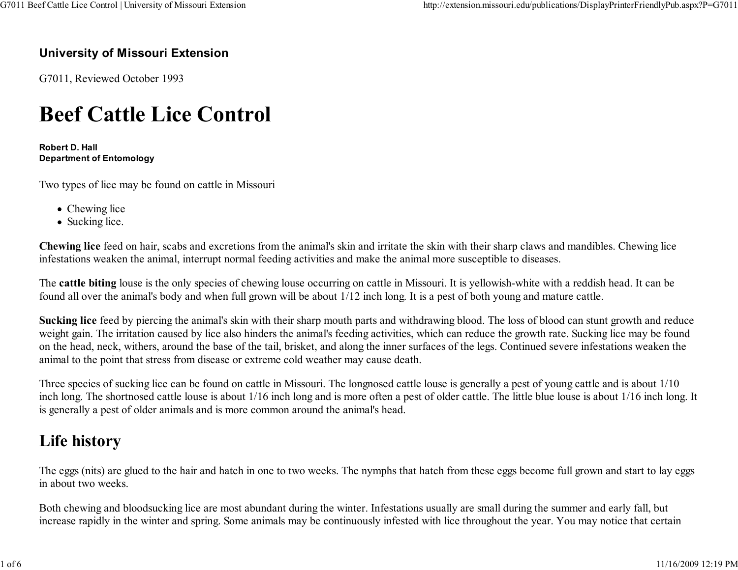### University of Missouri Extension

G7011, Reviewed October 1993

# Beef Cattle Lice Control

Robert D. HallDepartment of Entomology

Two types of lice may be found on cattle in Missouri

- Chewing lice
- Sucking lice.

Chewing lice feed on hair, scabs and excretions from the animal's skin and irritate the skin with their sharp claws and mandibles. Chewing liceinfestations weaken the animal, interrupt normal feeding activities and make the animal more susceptible to diseases.

The cattle biting louse is the only species of chewing louse occurring on cattle in Missouri. It is yellowish-white with a reddish head. It can befound all over the animal's body and when full grown will be about 1/12 inch long. It is a pest of both young and mature cattle.

Sucking lice feed by piercing the animal's skin with their sharp mouth parts and withdrawing blood. The loss of blood can stunt growth and reduce weight gain. The irritation caused by lice also hinders the animal's feeding activities, which can reduce the growth rate. Sucking lice may be found on the head, neck, withers, around the base of the tail, brisket, and along the inner surfaces of the legs. Continued severe infestations weaken theanimal to the point that stress from disease or extreme cold weather may cause death.

Three species of sucking lice can be found on cattle in Missouri. The longnosed cattle louse is generally a pest of young cattle and is about 1/10 inch long. The shortnosed cattle louse is about 1/16 inch long and is more often a pest of older cattle. The little blue louse is about 1/16 inch long. Itis generally a pest of older animals and is more common around the animal's head.

# Life history

The eggs (nits) are glued to the hair and hatch in one to two weeks. The nymphs that hatch from these eggs become full grown and start to lay eggsin about two weeks.

Both chewing and bloodsucking lice are most abundant during the winter. Infestations usually are small during the summer and early fall, butincrease rapidly in the winter and spring. Some animals may be continuously infested with lice throughout the year. You may notice that certain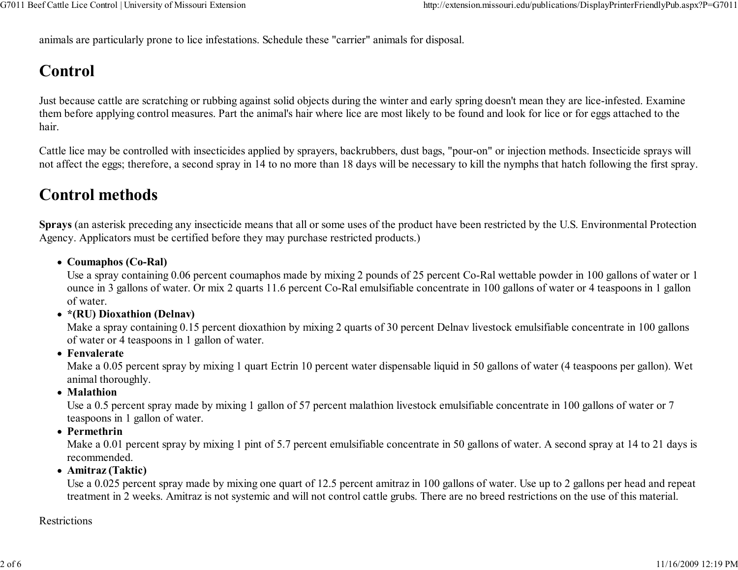animals are particularly prone to lice infestations. Schedule these "carrier" animals for disposal.

# Control

Just because cattle are scratching or rubbing against solid objects during the winter and early spring doesn't mean they are lice-infested. Examine them before applying control measures. Part the animal's hair where lice are most likely to be found and look for lice or for eggs attached to thehair.

Cattle lice may be controlled with insecticides applied by sprayers, backrubbers, dust bags, "pour-on" or injection methods. Insecticide sprays willnot affect the eggs; therefore, a second spray in 14 to no more than 18 days will be necessary to kill the nymphs that hatch following the first spray.

# Control methods

Sprays (an asterisk preceding any insecticide means that all or some uses of the product have been restricted by the U.S. Environmental ProtectionAgency. Applicators must be certified before they may purchase restricted products.)

• Coumaphos (Co-Ral)

 Use a spray containing 0.06 percent coumaphos made by mixing 2 pounds of 25 percent Co-Ral wettable powder in 100 gallons of water or 1 ounce in 3 gallons of water. Or mix 2 quarts 11.6 percent Co-Ral emulsifiable concentrate in 100 gallons of water or 4 teaspoons in 1 gallonof water.

\*(RU) Dioxathion (Delnav)

 Make a spray containing 0.15 percent dioxathion by mixing 2 quarts of 30 percent Delnav livestock emulsifiable concentrate in 100 gallonsof water or 4 teaspoons in 1 gallon of water.

• Fenvalerate

 Make a 0.05 percent spray by mixing 1 quart Ectrin 10 percent water dispensable liquid in 50 gallons of water (4 teaspoons per gallon). Wetanimal thoroughly.

• Malathion

 Use a 0.5 percent spray made by mixing 1 gallon of 57 percent malathion livestock emulsifiable concentrate in 100 gallons of water or 7teaspoons in 1 gallon of water.

Permethrin

 Make a 0.01 percent spray by mixing 1 pint of 5.7 percent emulsifiable concentrate in 50 gallons of water. A second spray at 14 to 21 days isrecommended.

Amitraz (Taktic)

 Use a 0.025 percent spray made by mixing one quart of 12.5 percent amitraz in 100 gallons of water. Use up to 2 gallons per head and repeattreatment in 2 weeks. Amitraz is not systemic and will not control cattle grubs. There are no breed restrictions on the use of this material.

### Restrictions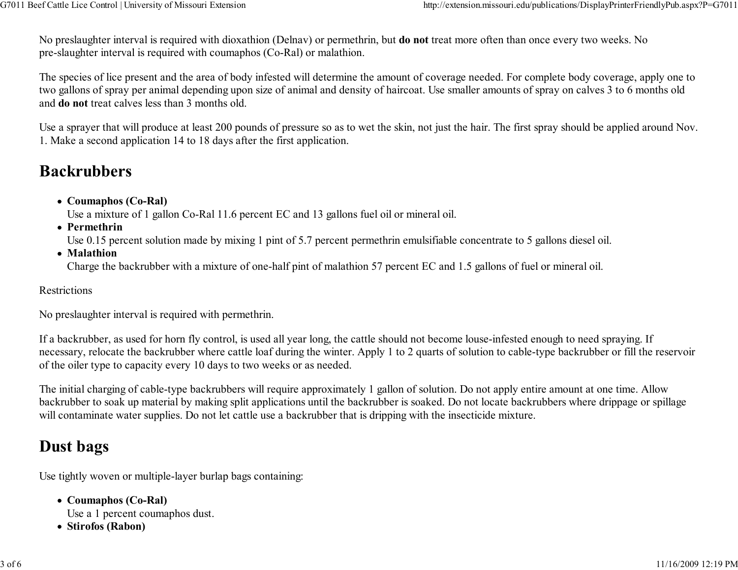No preslaughter interval is required with dioxathion (Delnav) or permethrin, but do not treat more often than once every two weeks. No pre-slaughter interval is required with coumaphos (Co-Ral) or malathion.

The species of lice present and the area of body infested will determine the amount of coverage needed. For complete body coverage, apply one totwo gallons of spray per animal depending upon size of animal and density of haircoat. Use smaller amounts of spray on calves 3 to 6 months oldand do not treat calves less than 3 months old.

Use a sprayer that will produce at least 200 pounds of pressure so as to wet the skin, not just the hair. The first spray should be applied around Nov.1. Make a second application 14 to 18 days after the first application.

# Backrubbers

• Coumaphos (Co-Ral)

Use a mixture of 1 gallon Co-Ral 11.6 percent EC and 13 gallons fuel oil or mineral oil.

• Permethrin

Use 0.15 percent solution made by mixing 1 pint of 5.7 percent permethrin emulsifiable concentrate to 5 gallons diesel oil.

• Malathion

Charge the backrubber with a mixture of one-half pint of malathion 57 percent EC and 1.5 gallons of fuel or mineral oil.

#### Restrictions

No preslaughter interval is required with permethrin.

If a backrubber, as used for horn fly control, is used all year long, the cattle should not become louse-infested enough to need spraying. If necessary, relocate the backrubber where cattle loaf during the winter. Apply 1 to 2 quarts of solution to cable-type backrubber or fill the reservoirof the oiler type to capacity every 10 days to two weeks or as needed.

The initial charging of cable-type backrubbers will require approximately 1 gallon of solution. Do not apply entire amount at one time. Allow backrubber to soak up material by making split applications until the backrubber is soaked. Do not locate backrubbers where drippage or spillagewill contaminate water supplies. Do not let cattle use a backrubber that is dripping with the insecticide mixture.

# Dust bags

Use tightly woven or multiple-layer burlap bags containing:

Coumaphos (Co-Ral)

Use a 1 percent coumaphos dust.

• Stirofos (Rabon)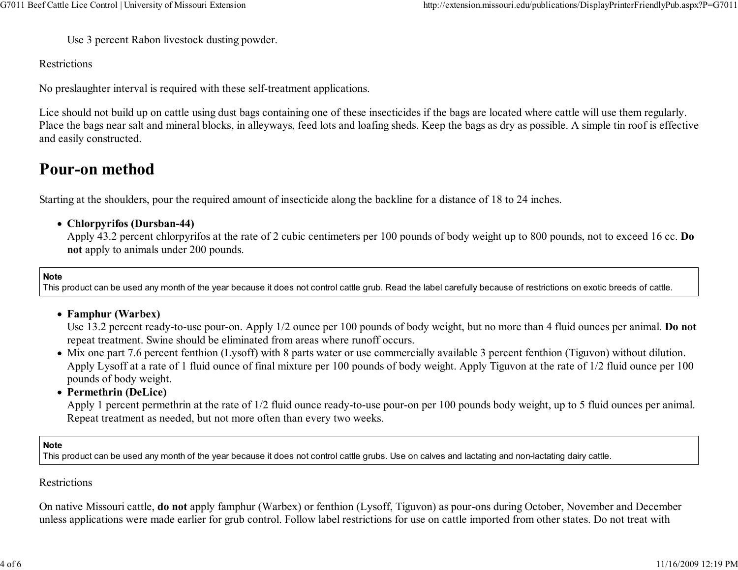Use 3 percent Rabon livestock dusting powder.

Restrictions

No preslaughter interval is required with these self-treatment applications.

Lice should not build up on cattle using dust bags containing one of these insecticides if the bags are located where cattle will use them regularly. Place the bags near salt and mineral blocks, in alleyways, feed lots and loafing sheds. Keep the bags as dry as possible. A simple tin roof is effectiveand easily constructed.

# Pour-on method

Starting at the shoulders, pour the required amount of insecticide along the backline for a distance of 18 to 24 inches.

Chlorpyrifos (Dursban-44)

Apply 43.2 percent chlorpyrifos at the rate of 2 cubic centimeters per 100 pounds of body weight up to 800 pounds, not to exceed 16 cc. Do not apply to animals under 200 pounds.

Note

This product can be used any month of the year because it does not control cattle grub. Read the label carefully because of restrictions on exotic breeds of cattle.

#### Famphur (Warbex)

Use 13.2 percent ready-to-use pour-on. Apply 1/2 ounce per 100 pounds of body weight, but no more than 4 fluid ounces per animal. Do not repeat treatment. Swine should be eliminated from areas where runoff occurs.

 Mix one part 7.6 percent fenthion (Lysoff) with 8 parts water or use commercially available 3 percent fenthion (Tiguvon) without dilution. Apply Lysoff at a rate of 1 fluid ounce of final mixture per 100 pounds of body weight. Apply Tiguvon at the rate of 1/2 fluid ounce per 100pounds of body weight.

#### • Permethrin (DeLice)

 Apply 1 percent permethrin at the rate of 1/2 fluid ounce ready-to-use pour-on per 100 pounds body weight, up to 5 fluid ounces per animal.Repeat treatment as needed, but not more often than every two weeks.

#### Note

This product can be used any month of the year because it does not control cattle grubs. Use on calves and lactating and non-lactating dairy cattle.

#### Restrictions

On native Missouri cattle, do not apply famphur (Warbex) or fenthion (Lysoff, Tiguvon) as pour-ons during October, November and Decemberunless applications were made earlier for grub control. Follow label restrictions for use on cattle imported from other states. Do not treat with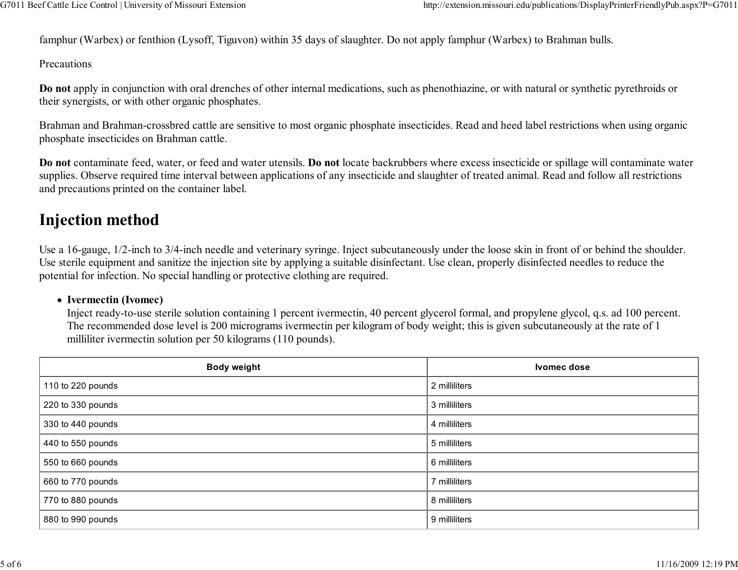famphur (Warbex) or fenthion (Lysoff, Tiguvon) within 35 days of slaughter. Do not apply famphur (Warbex) to Brahman bulls.

Precautions

Do not apply in conjunction with oral drenches of other internal medications, such as phenothiazine, or with natural or synthetic pyrethroids ortheir synergists, or with other organic phosphates.

Brahman and Brahman-crossbred cattle are sensitive to most organic phosphate insecticides. Read and heed label restrictions when using organicphosphate insecticides on Brahman cattle.

Do not contaminate feed, water, or feed and water utensils. Do not locate backrubbers where excess insecticide or spillage will contaminate watersupplies. Observe required time interval between applications of any insecticide and slaughter of treated animal. Read and follow all restrictionsand precautions printed on the container label.

### Injection method

Use a 16-gauge, 1/2-inch to 3/4-inch needle and veterinary syringe. Inject subcutaneously under the loose skin in front of or behind the shoulder.Use sterile equipment and sanitize the injection site by applying a suitable disinfectant. Use clean, properly disinfected needles to reduce thepotential for infection. No special handling or protective clothing are required.

#### • Ivermectin (Ivomec)

 Inject ready-to-use sterile solution containing 1 percent ivermectin, 40 percent glycerol formal, and propylene glycol, q.s. ad 100 percent.The recommended dose level is 200 micrograms ivermectin per kilogram of body weight; this is given subcutaneously at the rate of 1milliliter ivermectin solution per 50 kilograms (110 pounds).

| <b>Body weight</b> | <b>Ivomec dose</b> |
|--------------------|--------------------|
| 110 to 220 pounds  | 2 milliliters      |
| 220 to 330 pounds  | 3 milliliters      |
| 330 to 440 pounds  | 4 milliliters      |
| 440 to 550 pounds  | 5 milliliters      |
| 550 to 660 pounds  | 6 milliliters      |
| 660 to 770 pounds  | 7 milliliters      |
| 770 to 880 pounds  | 8 milliliters      |
| 880 to 990 pounds  | 9 milliliters      |